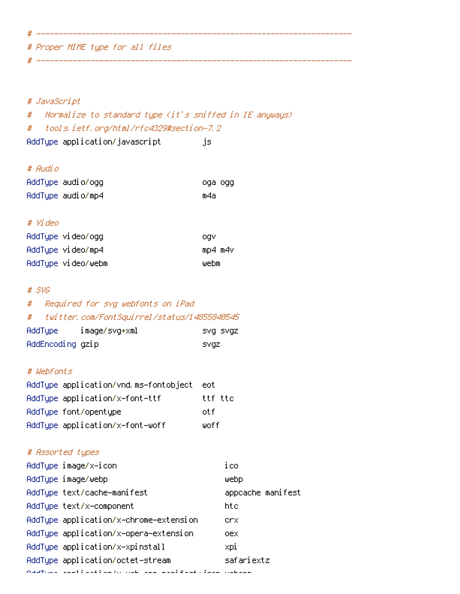# Proper MIME type for all files

# # JavaScript

# Normalize to standard type (it's sniffed in IE anyways) # tools.ietf.org/html/rfc4329#section-7.2

# ----------------------------------------------------------------------

# ----------------------------------------------------------------------

AddType application/javascript js

# # Audio

| AddTupe audio/ogg | oga ogg |
|-------------------|---------|
| AddType audio/mp4 | m4a     |

#### # Video

| AddType video/ogg  | .ogv    |
|--------------------|---------|
| AddType video/mp4  | mp4 m4v |
| AddTupe video/webm | webm    |

### # SVG

# # Required for svg webfonts on iPad

# # twitter.com/FontSquirrel/status/14855840545

| AddType          | image/svg+xml | svg svgz |
|------------------|---------------|----------|
| AddEncoding gzip |               | svqz,    |

### # Webfonts

| AddTupe application/vnd.ms-fontobject | eot –   |
|---------------------------------------|---------|
| AddTupe application/x-font-ttf        | ttf ttc |
| AddType font/opentype                 | nt f    |
| AddType application/x-font-woff       | wof f   |

### # Assorted types

| AddType image/x-icon                                                                         | ico               |
|----------------------------------------------------------------------------------------------|-------------------|
| AddType image/webp                                                                           | webp              |
| AddType text/cache-manifest                                                                  | appcache manifest |
| AddTupe text/x-component                                                                     | htc               |
| AddType application/x-chrome-extension                                                       | crx               |
| AddType application/x-opera-extension                                                        | oex               |
| AddTupe application/x-xpinstall                                                              | xpi               |
| AddTupe application/octet-stream                                                             | safariextz        |
| Cold Town as a set of the definition of the following and the field of the second continuous |                   |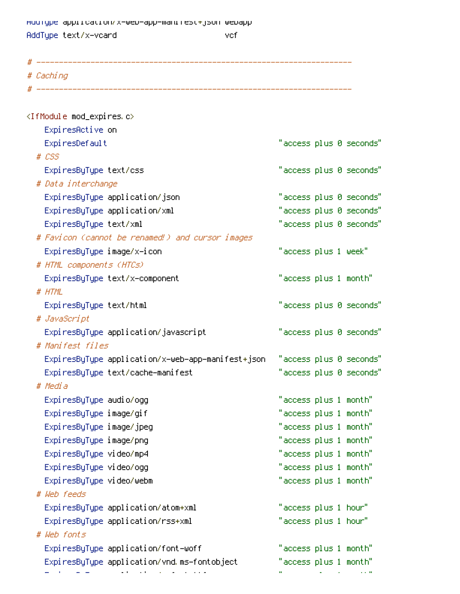AddType application/x-web-app-manifest+json webapp AddType text/x-vcard vcf

# ---------------------------------------------------------------------- # Caching  $\#$  -------------<IfModule mod\_expires.c> ExpiresActive on ExpiresDefault "access plus 0 seconds" # CSS ExpiresByType text/css "access plus 0 seconds" # Data interchange ExpiresByType application/json "access plus 0 seconds" ExpiresByType application/xml "access plus 0 seconds" ExpiresByType text/xml "access plus 0 seconds" # Favicon (cannot be renamed!) and cursor images ExpiresByType image/x-icon "access plus 1 week" # HTML components (HTCs) ExpiresByType text/x-component "access plus 1 month" # HTML ExpiresByType text/html "access plus 0 seconds" # JavaScript ExpiresByType application/javascript "access plus 0 seconds" # Manifest files ExpiresByType application/x-web-app-manifest+json "access plus 0 seconds" ExpiresByType text/cache-manifest "access plus 0 seconds" # Media ExpiresByType audio/ogg "access plus 1 month" ExpiresByType image/gif "access plus 1 month" ExpiresByType image/jpeg "access plus 1 month" ExpiresByType image/png "access plus 1 month" ExpiresByType video/mp4 "access plus 1 month" ExpiresByType video/ogg "access plus 1 month" ExpiresByType video/webm "access plus 1 month" # Web feeds ExpiresByType application/atom+xml "access plus 1 hour" ExpiresByType application/rss+xml "access plus 1 hour" # Web fonts ExpiresByType application/font-woff "access plus 1 month" ExpiresByType application/vnd.ms-fontobject "access plus 1 month"

ExpiresByType application/x-font-ttf "access plus 1 month"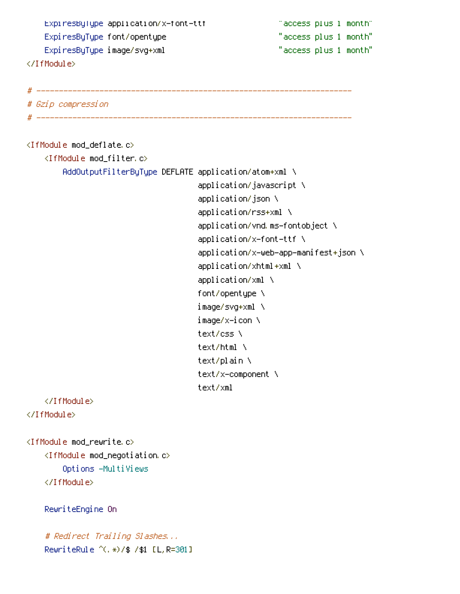ExpiresByType application/x-font-ttf "access plus 1 month" ExpiresByType font/opentype "access plus 1 month" ExpiresByType image/svg+xml "access plus 1 month" </IfModule> # ---------------------------------------------------------------------- # Gzip compression # ---------------------------------------------------------------------- <IfModule mod\_deflate.c> <IfModule mod\_filter.c> AddOutputFilterByType DEFLATE application/atom+xml \ application/javascript \ application/json \ application/rss+xml \ application/vnd.ms-fontobject \ application/x-font-ttf \ application/x-web-app-manifest+json \ application/xhtml+xml \ application/xml \ font/opentype \ image/svg+xml \ image/x-icon \ text/css \ text/html \ text/plain \ text/x-component \ text/xml </IfModule> </IfModule> <IfModule mod\_rewrite.c>  $\triangleleft$  fModule mod\_negotiation.c> Options -MultiViews </IfModule> RewriteEngine On

# Redirect Trailing Slashes... RewriteRule ^(.\*)/\$ /\$1 [L,R=301]